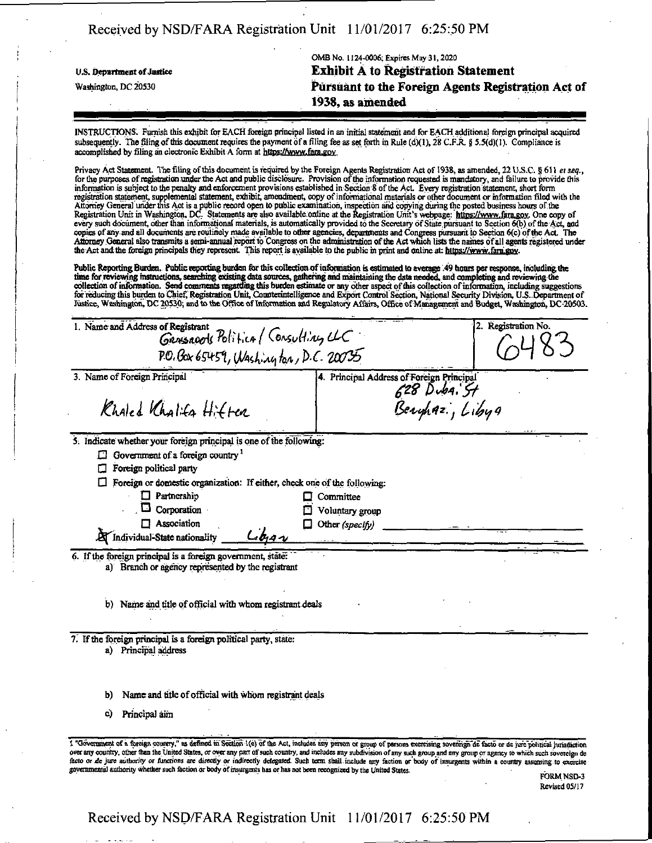|                            | OMB No. 1124-0006; Expires May 31, 2020            |
|----------------------------|----------------------------------------------------|
| U.S. Department of Justice | <b>Exhibit A to Registration Statement</b>         |
| Washington, DC 20530       | Pursuant to the Foreign Agents Registration Act of |
|                            | 1938, as amended                                   |

INSTRUCTIONS. Furnish this exhibit for EACH foreign principal listed in an initial statement and for EACH additional foreign principal acquired subsequently. The filing of this document requires the payment of a filing fee as set forth in Rule (d)(1), 28 C.F.R. § 5.5(d)(1). Compliance is accomplished by filing an electronic Exhibit A form at https://www.fara.gov.

Privacy Act Statement. The filing of this document is required by the Foreign Agents Registration Act of 1938, as amended, 22 U.S.C. § 611 *et seq.*,<br>for the purposes of registration under the Act and public disclosure. Pr information is subject to the penalty and enforcement provisions established in Section 8 of tbe Act. Every registration statement, short form registration statement, supplemental statement, exhibit, amendment, copy of informational materials or other document or information filed with the Attorney General under this Act is apublic record open to public examination, inspection and copying during the posted business hours ofthe Registration Unit in Washington, DC. Statements are also available online at the Registration Unit's webpage: https://www.fara.gov. One copy of every such document, other than informational materials, is automatically provided to the Secretary of State pursuant to Section 6(b) of the Act, and copies of any and all documents are routinely made available to other agencies, departments and Congress pursuant to Section 6(c) of the Act. The Attorney General also transmits a serni-annual report to Congress on the adminisuation of the Act which lists the names of all agents registered under the Act and the foreign principals they represent. This report is available to the public in print and online at https://www.fara.gov.

Public Reporting Burden. Public reporting burden for this collection of information is estimated to average .49 hours per response, including the Public Reporting Burden. Public reporting burden for this collection of information is estimated to average 49 hours per response, including the<br>time for reviewing instructions, searching existing data sources, gathering a for reducing this burden to Chief, Registration Unit, Comnerintelligence and Export Control Section, National Security Division, U.S. . Department of Justice, Washmgton, DC 20530; and to the Office of mformation and Regulatory Affairs, Office of Management and Budget, Washington, DC 20503.

| 1. Name and Address of Registrant<br>GRASSROOK Politica (Consulting CLC                                                                                                                                                                                                                                                                                                                                                                                                                                                                                                                                                                                                               |                                           | 2. Registration No. |
|---------------------------------------------------------------------------------------------------------------------------------------------------------------------------------------------------------------------------------------------------------------------------------------------------------------------------------------------------------------------------------------------------------------------------------------------------------------------------------------------------------------------------------------------------------------------------------------------------------------------------------------------------------------------------------------|-------------------------------------------|---------------------|
| PO. Box 65459, Washington, D.C. 20035                                                                                                                                                                                                                                                                                                                                                                                                                                                                                                                                                                                                                                                 |                                           |                     |
| 3. Name of Foreign Principal                                                                                                                                                                                                                                                                                                                                                                                                                                                                                                                                                                                                                                                          | 4. Principal Address of Foreign Principal |                     |
| Khaled Khalifa Hitten                                                                                                                                                                                                                                                                                                                                                                                                                                                                                                                                                                                                                                                                 | 628 Duba. St<br>Beryhaz, Libya            |                     |
| 5. Indicate whether your foreign principal is one of the following:                                                                                                                                                                                                                                                                                                                                                                                                                                                                                                                                                                                                                   |                                           |                     |
| Government of a foreign country $1$                                                                                                                                                                                                                                                                                                                                                                                                                                                                                                                                                                                                                                                   |                                           |                     |
| Foreign political party                                                                                                                                                                                                                                                                                                                                                                                                                                                                                                                                                                                                                                                               |                                           |                     |
| Foreign or domestic organization: If either, check one of the following:                                                                                                                                                                                                                                                                                                                                                                                                                                                                                                                                                                                                              |                                           |                     |
| $\Box$ Partnership                                                                                                                                                                                                                                                                                                                                                                                                                                                                                                                                                                                                                                                                    | $\Box$ Committee                          |                     |
| 0<br>Corporation                                                                                                                                                                                                                                                                                                                                                                                                                                                                                                                                                                                                                                                                      | Voluntary group                           |                     |
| $\Box$ Association                                                                                                                                                                                                                                                                                                                                                                                                                                                                                                                                                                                                                                                                    | Other $(specify)$                         |                     |
| Lba<br>A Individual-State nationality                                                                                                                                                                                                                                                                                                                                                                                                                                                                                                                                                                                                                                                 |                                           |                     |
| 6. If the foreign principal is a foreign government, state:<br>a) Branch or agency represented by the registrant<br>b)<br>Name and title of official with whom registrant deals                                                                                                                                                                                                                                                                                                                                                                                                                                                                                                       |                                           |                     |
| 7. If the foreign principal is a foreign political party, state:<br>a) Principal address                                                                                                                                                                                                                                                                                                                                                                                                                                                                                                                                                                                              |                                           |                     |
| Name and title of official with whom registrant deals<br>b)                                                                                                                                                                                                                                                                                                                                                                                                                                                                                                                                                                                                                           |                                           |                     |
| Principal aim<br>C)                                                                                                                                                                                                                                                                                                                                                                                                                                                                                                                                                                                                                                                                   |                                           |                     |
| I "Government of a foreign country," as defined in Section 1(e) of the Act, includes any person or group of persons exercising sovereign de facto or de jure political jurisdiction<br>over any country, other than the United States, or over any part of such country, and includes any subdivision of any such group and any group or agency to which such sovereign de<br>facto or de jure authority or functions are directly or indirectly delegated. Such term shall include any faction or body of insurgents within a country assuming to exercise<br>governmental authority whether such faction or body of insurgents has or has not been recognized by the United States. |                                           | <b>EODM NOD 2</b>   |

FORM NSD-3 Revised 05/17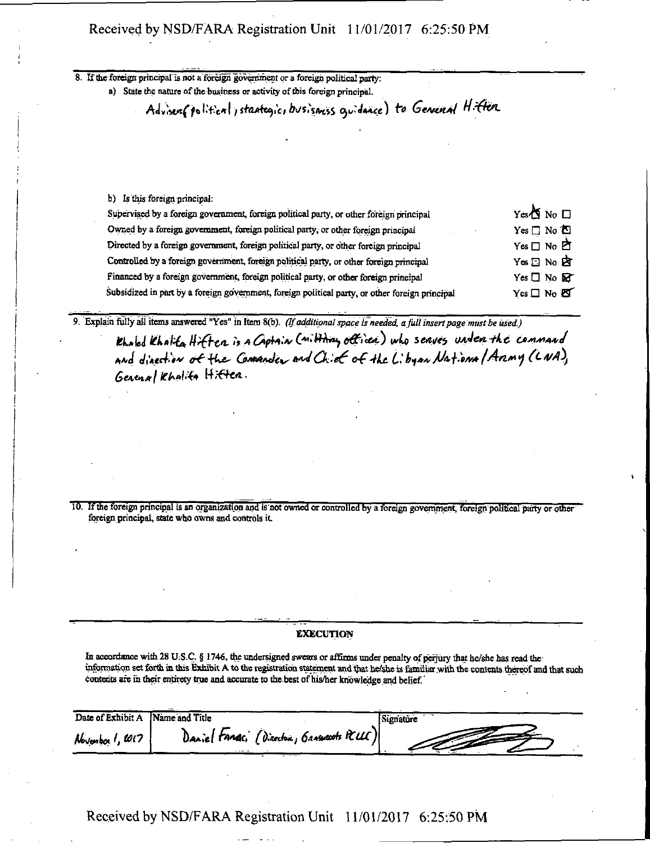| $\cdots$                                                                                                                                                         |  |
|------------------------------------------------------------------------------------------------------------------------------------------------------------------|--|
| If the foreign principal is not a foreign government or a foreign political party:<br>a) State the nature of the business or activity of this foreign principal. |  |
|                                                                                                                                                                  |  |
| Advisem(polition), stantegic, busismss quidance) to General Hitten                                                                                               |  |
|                                                                                                                                                                  |  |
|                                                                                                                                                                  |  |
|                                                                                                                                                                  |  |
|                                                                                                                                                                  |  |
|                                                                                                                                                                  |  |
|                                                                                                                                                                  |  |
|                                                                                                                                                                  |  |
|                                                                                                                                                                  |  |

| b) Is this foreign principal:                                                                   |                            |
|-------------------------------------------------------------------------------------------------|----------------------------|
| Supervised by a foreign government, foreign political party, or other foreign principal         | Yes <sup>1</sup> No □      |
| Owned by a foreign government, foreign political party, or other foreign principal              | $Yes \Box No$ $\Box$       |
| Directed by a foreign government, foreign political party, or other foreign principal           | $Yes \Box No$              |
| Controlled by a foreign government, foreign political party, or other foreign principal         | Yes □ No 内                 |
| Financed by a foreign government, foreign political party, or other foreign principal           | Yes $\Box$ No $\mathbb{R}$ |
| Subsidized in part by a foreign government, foreign political party, or other foreign principal | Yes□ No 图                  |
|                                                                                                 |                            |

*9. Explain fully all items answered "Yes" in Item 8(b). (If additional space is needed, a full insert page must be used.)* 

Khaled Khalita Hiften is a Captain (militiry officer) who serves under the command and direction of the *Comander* and Chief of the Libyan National Aramy (CNA), General Khalita Hitten.

10. If the foreign principal is an organization and is not owned or controlled by a foreign government, foreign political party or other foreign principal, state who owns and controls it

#### EXECUTION

In accordance with 28 U.S.C. § 1746, the undersigned swears or affirms under penalty of perjury that he/she has read the information set forth in this Exhibit A to the registration statement and that he/she is familiar with the contents thereof and that such contents are in their entirety true and accurate to the best of his/her knowledge and belief.'

| Date of Exhibit A Name and Title |                                           | Signature |
|----------------------------------|-------------------------------------------|-----------|
| Novembor 1, 2017                 | Daniel Fance, (Director, Grassouts PCLUC) |           |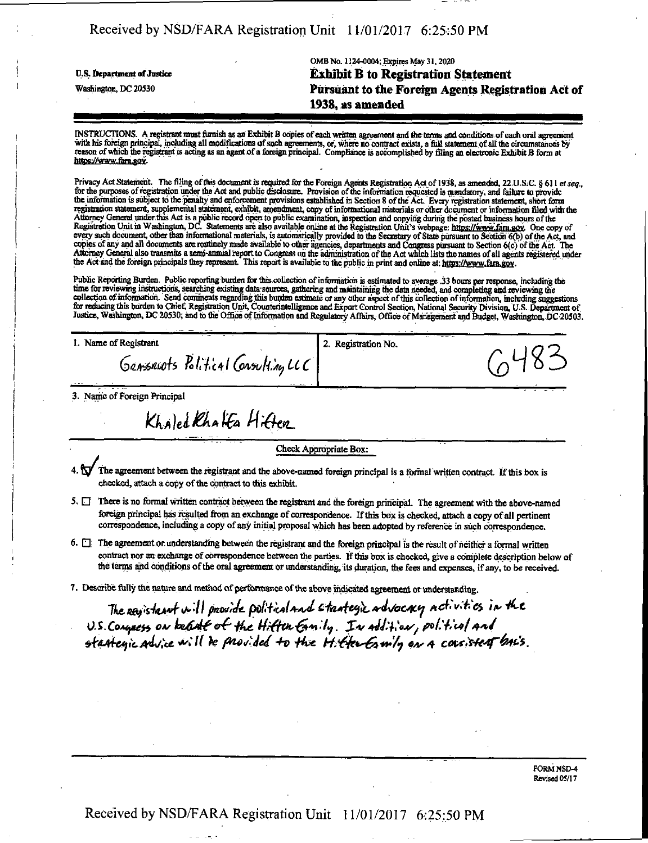OMB No. 1124-0004; Expires May 31,2020 **li.s. Department of justice Exhibit B to Registration Statement Washington, DC 20530 Pursuant to the Foreign Agents Registration Act of 1938, as amended** 

INSTRUCTIONS: Aregistrant must furnish as an Exhibit B copies of each written agreement and the terms and conditions of each oral agreement with his foreign principal, including all modifications of such agreements, or, where no contract exists, a full statement of all the circumstances by reason of which the registrant is acting as an agent of a foreign principal. Compliance is accomplished by tiling an dectronic Exhibit B form at https://www.fara.gov.

Privacy Act Statement. The filing of this document is required for the Foreign Agents Registration Act of 1938, as amended, 22 U.S.C. § 611 et seq., for the purposes of registration under the Act and public disclosure. Provision of the information requested is mandatory, and failure to provide<br>the information is subject to the penalty and enforcement provisions establi registration statement, supplemental statement, exhibit, amendment, copy of mformationai materials or other document or information filed with the Attorney General underthis Act is a public record open to public examination, inspection and copying during the posted business hours ofthe Registration Unit in Washington, DC. Statements are also available online at the Registration Unit's webpage: https://www.fara.gov. One copy of every such document, other than infonnational materials, is automatically provided to the Secretary of State pursuant to Section 6(b) ofthe Act, and copies of any and all documents are routinely made available to other agencies, departments and Congress pursuant to Section 6(c) of the Act. The Attorney General also transmits a semi-annual report to Congress oh the administration of the Act which lists the names of all agents registered under the Act and the foreign principals they represent. This report is available to the public in print and online at: https://www.fara.goy.

Public Reporting Burden. Public reporting burden for this coUection of information is estimated to average 33 hours per response, including the time for reviewing instructions, searching existing data sources, gathering and maintaining the data needed, and completing and reviewing the collection of information. Send comments regarding this burden estimate or any other aspect of this collection of information, including suggestions for reducing suggestions for reducing suggestions for reducing suggestion Justice, Washington, DC 20530; and to the Office of Information and Regulatory Affairs, Office of Management and Budget, Washington, DC 20503.

1. Name of Registrant 2. Registration No.

3. Name of Foreign Principal

Khaled Khaffa Hiften

GRASSRUOTS Political Consulting LCC

Check Appropriate Box:

- 1.  $\mathbb N$  The agreement between the registrant and the above-named foreign principal is a formal written contract. If this box is checked, attach a copy of the contract to this exhibit.
- 5.  $\Box$  There is no formal written contract between the registrant and the foreign principal. The agreement with the above-named foreign principal has resulted from an exchange of correspondence. If this box is checked, attach a copy of all pertinent correspondence, including a copy of any initial proposal which has been adopted by reference in such correspondence.
- 6.  $\Box$  The agreement or understanding between the registrant and the foreign principal is the result of neither a formal written contract nor an exchange of correspondence between the parties. If this box is checked, give a complete description below of the terms and conditions of the oral agreement or understanding, its duration, the fees and expenses, if any, to be received.
- 7. Describe fully the nature and method of performance of the above indicated agreement or understanding.

The paristrant will provide political and strategic advocacy activities in the U.S. Congress on belief of the Hiften Earnily. In addition, political and stationic advice will be provided to the Hitter Camin on a consistent back.

> FORM NSD-4 Revised 05/17

 $6483$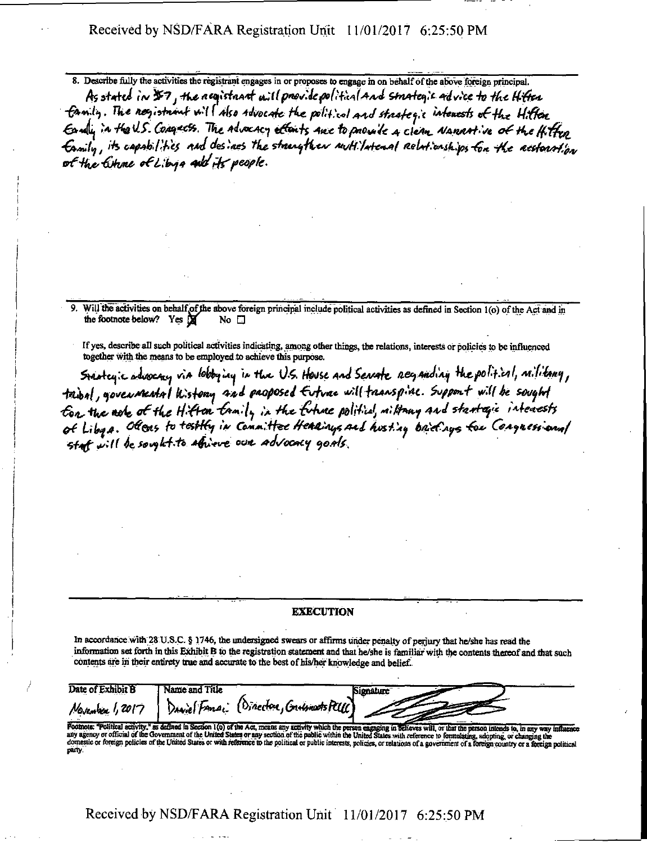8. Describe fully the activities me registrant engages in or proposes to engage in on behalf of the above foreign principal.

As stated in \$7, the negistant will provide political and strategic advice to the Hitten family. The nogistional will also advocate the political and strategic intenests of the Hitten Early in the U.S. Congress. The advocacy efforts are to provide a clean Namartive of the Hitten Eamily, its capabilities and desines the strengther nuttilateral relationships for the acctourtion of the literal of Libya and its people.

9. Will the activities on behalf of the above foreign principal include political activities as defined in Section 1(o) of the Act and in the footnote below? Yes  $\boxed{M}$  No  $\boxed{1}$ the footnote below? Yes M

If yes, describe all such political activities indicating, among other things, tbe relations, interests or policies to be influenced

together with the means to be employed to achieve this purpose.<br>Stantey: c advocacy via lobbying in the U.S. House and Sensate neganding the political, militang, *5to4r^;c\*<UMt^ M /4^<J <\* HJC- 0\$. tfwu W&wfc, W^W^ H&fofyXilf MIV^H^<sup>I</sup>* For the note of the Hifton family in the future political, military and stantagic intenests<br>of Liby a. Olions to testify in Committee Hearings and husting briefings for Congressions/ staf will be sought to athieve our advocacy goals.

#### EXECUTION

m accordance with 28 U.S.C. § 1746, the undersigned swears or affirms under penalty of perjury that he/she has read the mformation set forth in this Exhibit B to the registration statement and that he/she is familiar with the contents thereof and that such contents are in their entirety true and accurate to the best of his/her knowledge and belief.

| Date of Exhibit B | <b>Name and Title</b> | <b>Signature</b>                                             |
|-------------------|-----------------------|--------------------------------------------------------------|
|                   |                       |                                                              |
|                   |                       | Movember 1, 2017 \ Daniel Famai (Directore, Grassmoots PCUC) |
|                   |                       |                                                              |
|                   |                       |                                                              |

domestic or foreign policies of the United States or with reference to the political or public interests, policies, or relations of a government of a foreign country or a foreign political<br>party.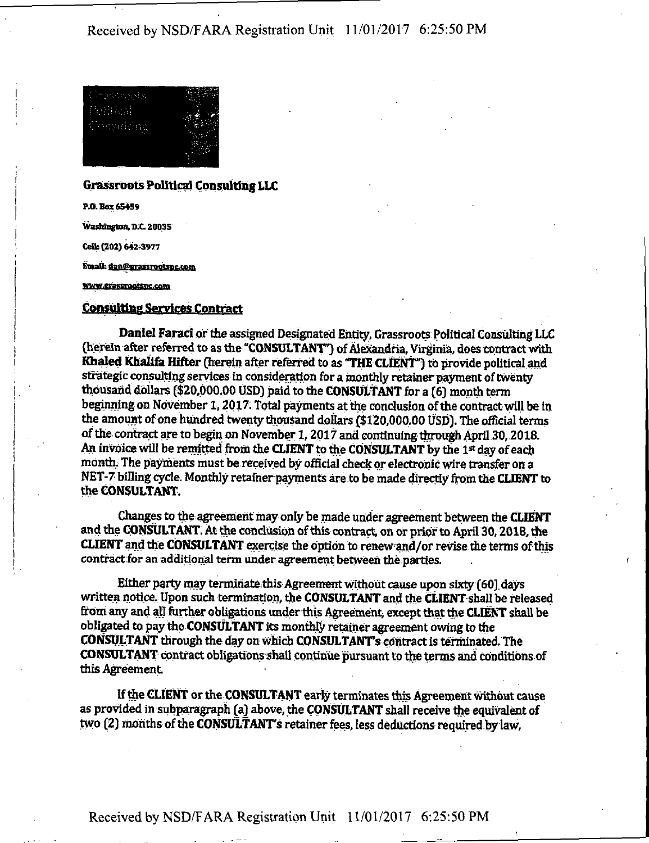

#### **Grassroots Political Consulting LLC**

P.O. Box 65459

Washington, D.C 20035

CeUi (202) 642-3977

Email: dan@grassrootspc.com

#### WWW.Crassrootspc.com

### **Consulting Services Contract**

**Daniel Farad or the assigned Designated Entity, Grassroots Political Consulting LLC (herein after referred to as the "CONSULTANT") of Alexandria, Virginia, does contract with Khaled Khalifa Hifter (herein after referred to as "THE CLIENT") to provide political and strategic consulting services in consideration for a monthly retainer payment of twenty thousand dollars (\$20,000.00 USD) paid to the CONSULTANT for a (6) month term**  beginning on November 1, 2017. Total payments at the conclusion of the contract will be in **the amount of one hundred twenty thousand dollars (\$120,000,00 USD), the official terms of the contract are to begin on November 1,2017 and continuing through April 30,2018. An invoice will be remitted from the CLIENT to the CONSULTANT by the 1st day of each month. The payments must be received by official check or electronic wire transfer on a NET-7 billing cycle. Monthly retaiherpayments are to be made directly from the CLIENT to the CONSULTANT.** 

Changes to the agreement may only be made under agreement between the CLIENT and the CONSULTANT. At the conclusion ofthis contract on or prior to April 30,2018, the CLIENT and the CONSULTANT exercise the option to renew and/or revise the terms ofthis contract for an additional term under agreement between the parties.

Either party may terminate this Agreement without cause upon sixty (60) days written notice. Upon such termmation, the CONSULTANT and the CLIENT-shaU be released from any and all further obligations under this Agreement) except that the CLIENT shall be obligated to pay the CONSULTANT its monthly retainer agreement owing to the CONSULTANT through the day on which CONSULTANTS contract is terminated. The CONSULTANT contract obligationsshall continue pursuant to the terms and conditions of this Agreement

If the CLIENT or the CONSULTANT early terminates this Agreement without cause as provided in subparagraph (a) above, the CONSULTANT shall receive the equivalent of two (2) months of the CONSULTANT'S retainer fees, less deductions required by law,